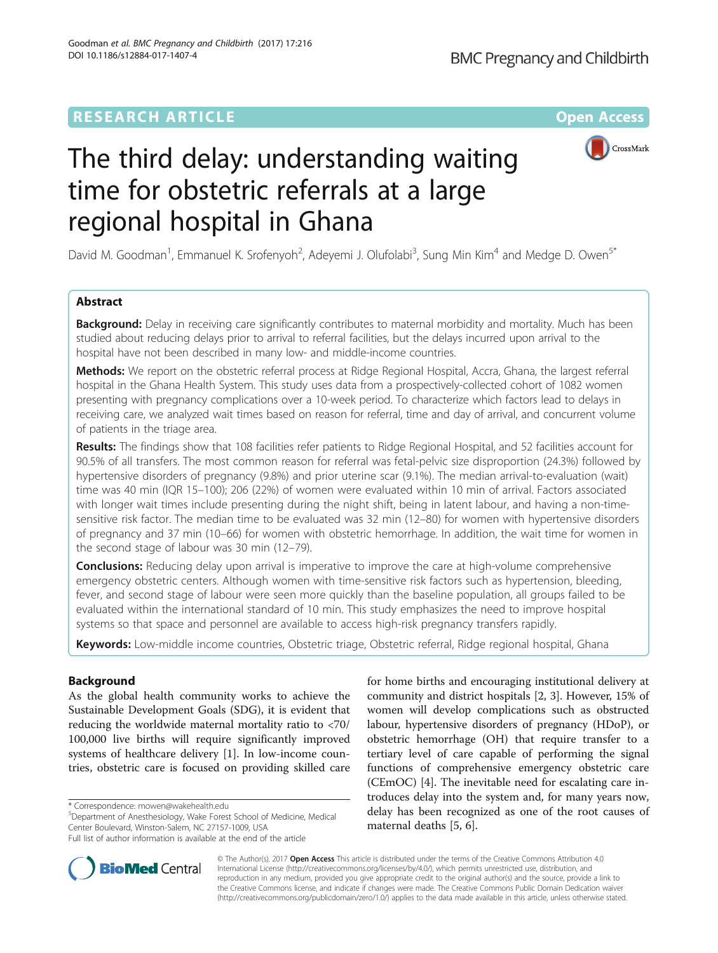## **RESEARCH ARTICLE External Structure Community Community Community Community Community Community Community Community**



# The third delay: understanding waiting time for obstetric referrals at a large regional hospital in Ghana

David M. Goodman<sup>1</sup>, Emmanuel K. Srofenyoh<sup>2</sup>, Adeyemi J. Olufolabi<sup>3</sup>, Sung Min Kim<sup>4</sup> and Medge D. Owen<sup>5\*</sup>

## Abstract

**Background:** Delay in receiving care significantly contributes to maternal morbidity and mortality. Much has been studied about reducing delays prior to arrival to referral facilities, but the delays incurred upon arrival to the hospital have not been described in many low- and middle-income countries.

Methods: We report on the obstetric referral process at Ridge Regional Hospital, Accra, Ghana, the largest referral hospital in the Ghana Health System. This study uses data from a prospectively-collected cohort of 1082 women presenting with pregnancy complications over a 10-week period. To characterize which factors lead to delays in receiving care, we analyzed wait times based on reason for referral, time and day of arrival, and concurrent volume of patients in the triage area.

Results: The findings show that 108 facilities refer patients to Ridge Regional Hospital, and 52 facilities account for 90.5% of all transfers. The most common reason for referral was fetal-pelvic size disproportion (24.3%) followed by hypertensive disorders of pregnancy (9.8%) and prior uterine scar (9.1%). The median arrival-to-evaluation (wait) time was 40 min (IQR 15–100); 206 (22%) of women were evaluated within 10 min of arrival. Factors associated with longer wait times include presenting during the night shift, being in latent labour, and having a non-timesensitive risk factor. The median time to be evaluated was 32 min (12–80) for women with hypertensive disorders of pregnancy and 37 min (10–66) for women with obstetric hemorrhage. In addition, the wait time for women in the second stage of labour was 30 min (12–79).

**Conclusions:** Reducing delay upon arrival is imperative to improve the care at high-volume comprehensive emergency obstetric centers. Although women with time-sensitive risk factors such as hypertension, bleeding, fever, and second stage of labour were seen more quickly than the baseline population, all groups failed to be evaluated within the international standard of 10 min. This study emphasizes the need to improve hospital systems so that space and personnel are available to access high-risk pregnancy transfers rapidly.

Keywords: Low-middle income countries, Obstetric triage, Obstetric referral, Ridge regional hospital, Ghana

## Background

As the global health community works to achieve the Sustainable Development Goals (SDG), it is evident that reducing the worldwide maternal mortality ratio to <70/ 100,000 live births will require significantly improved systems of healthcare delivery [\[1](#page-6-0)]. In low-income countries, obstetric care is focused on providing skilled care

\* Correspondence: [mowen@wakehealth.edu](mailto:mowen@wakehealth.edu) <sup>5</sup>

Department of Anesthesiology, Wake Forest School of Medicine, Medical Center Boulevard, Winston-Salem, NC 27157-1009, USA

Full list of author information is available at the end of the article



**BioMed Central** 

© The Author(s). 2017 **Open Access** This article is distributed under the terms of the Creative Commons Attribution 4.0 International License [\(http://creativecommons.org/licenses/by/4.0/](http://creativecommons.org/licenses/by/4.0/)), which permits unrestricted use, distribution, and reproduction in any medium, provided you give appropriate credit to the original author(s) and the source, provide a link to the Creative Commons license, and indicate if changes were made. The Creative Commons Public Domain Dedication waiver [\(http://creativecommons.org/publicdomain/zero/1.0/](http://creativecommons.org/publicdomain/zero/1.0/)) applies to the data made available in this article, unless otherwise stated.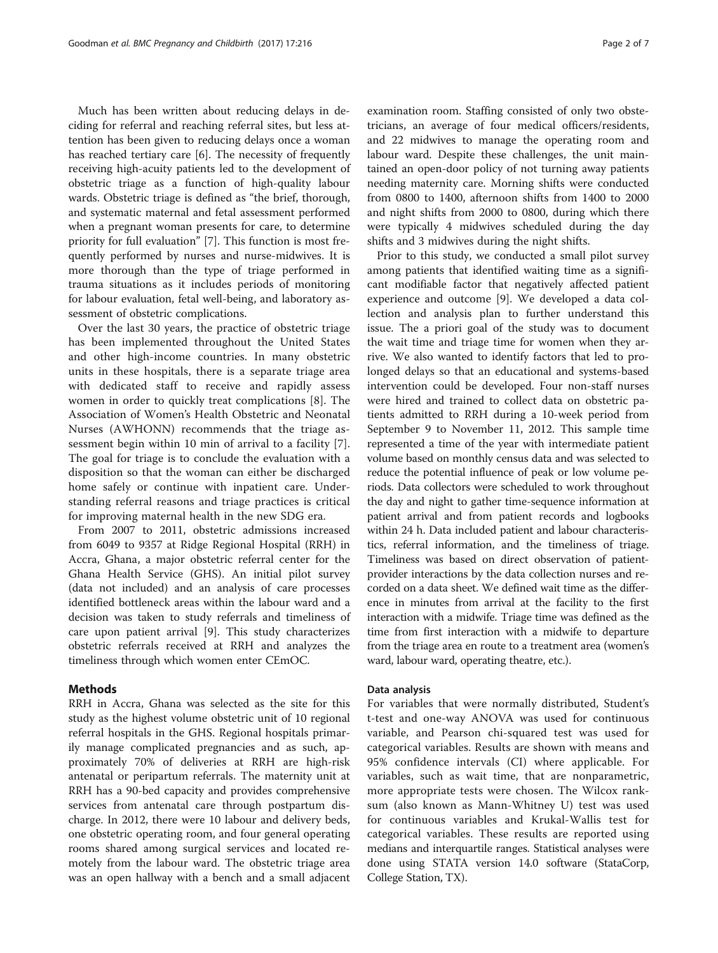Much has been written about reducing delays in deciding for referral and reaching referral sites, but less attention has been given to reducing delays once a woman has reached tertiary care [[6\]](#page-6-0). The necessity of frequently receiving high-acuity patients led to the development of obstetric triage as a function of high-quality labour wards. Obstetric triage is defined as "the brief, thorough, and systematic maternal and fetal assessment performed when a pregnant woman presents for care, to determine priority for full evaluation" [\[7](#page-6-0)]. This function is most frequently performed by nurses and nurse-midwives. It is more thorough than the type of triage performed in trauma situations as it includes periods of monitoring for labour evaluation, fetal well-being, and laboratory assessment of obstetric complications.

Over the last 30 years, the practice of obstetric triage has been implemented throughout the United States and other high-income countries. In many obstetric units in these hospitals, there is a separate triage area with dedicated staff to receive and rapidly assess women in order to quickly treat complications [\[8](#page-6-0)]. The Association of Women's Health Obstetric and Neonatal Nurses (AWHONN) recommends that the triage assessment begin within 10 min of arrival to a facility [\[7](#page-6-0)]. The goal for triage is to conclude the evaluation with a disposition so that the woman can either be discharged home safely or continue with inpatient care. Understanding referral reasons and triage practices is critical for improving maternal health in the new SDG era.

From 2007 to 2011, obstetric admissions increased from 6049 to 9357 at Ridge Regional Hospital (RRH) in Accra, Ghana, a major obstetric referral center for the Ghana Health Service (GHS). An initial pilot survey (data not included) and an analysis of care processes identified bottleneck areas within the labour ward and a decision was taken to study referrals and timeliness of care upon patient arrival [\[9](#page-6-0)]. This study characterizes obstetric referrals received at RRH and analyzes the timeliness through which women enter CEmOC.

#### Methods

RRH in Accra, Ghana was selected as the site for this study as the highest volume obstetric unit of 10 regional referral hospitals in the GHS. Regional hospitals primarily manage complicated pregnancies and as such, approximately 70% of deliveries at RRH are high-risk antenatal or peripartum referrals. The maternity unit at RRH has a 90-bed capacity and provides comprehensive services from antenatal care through postpartum discharge. In 2012, there were 10 labour and delivery beds, one obstetric operating room, and four general operating rooms shared among surgical services and located remotely from the labour ward. The obstetric triage area was an open hallway with a bench and a small adjacent examination room. Staffing consisted of only two obstetricians, an average of four medical officers/residents, and 22 midwives to manage the operating room and labour ward. Despite these challenges, the unit maintained an open-door policy of not turning away patients needing maternity care. Morning shifts were conducted from 0800 to 1400, afternoon shifts from 1400 to 2000 and night shifts from 2000 to 0800, during which there were typically 4 midwives scheduled during the day shifts and 3 midwives during the night shifts.

Prior to this study, we conducted a small pilot survey among patients that identified waiting time as a significant modifiable factor that negatively affected patient experience and outcome [[9\]](#page-6-0). We developed a data collection and analysis plan to further understand this issue. The a priori goal of the study was to document the wait time and triage time for women when they arrive. We also wanted to identify factors that led to prolonged delays so that an educational and systems-based intervention could be developed. Four non-staff nurses were hired and trained to collect data on obstetric patients admitted to RRH during a 10-week period from September 9 to November 11, 2012. This sample time represented a time of the year with intermediate patient volume based on monthly census data and was selected to reduce the potential influence of peak or low volume periods. Data collectors were scheduled to work throughout the day and night to gather time-sequence information at patient arrival and from patient records and logbooks within 24 h. Data included patient and labour characteristics, referral information, and the timeliness of triage. Timeliness was based on direct observation of patientprovider interactions by the data collection nurses and recorded on a data sheet. We defined wait time as the difference in minutes from arrival at the facility to the first interaction with a midwife. Triage time was defined as the time from first interaction with a midwife to departure from the triage area en route to a treatment area (women's ward, labour ward, operating theatre, etc.).

#### Data analysis

For variables that were normally distributed, Student's t-test and one-way ANOVA was used for continuous variable, and Pearson chi-squared test was used for categorical variables. Results are shown with means and 95% confidence intervals (CI) where applicable. For variables, such as wait time, that are nonparametric, more appropriate tests were chosen. The Wilcox ranksum (also known as Mann-Whitney U) test was used for continuous variables and Krukal-Wallis test for categorical variables. These results are reported using medians and interquartile ranges. Statistical analyses were done using STATA version 14.0 software (StataCorp, College Station, TX).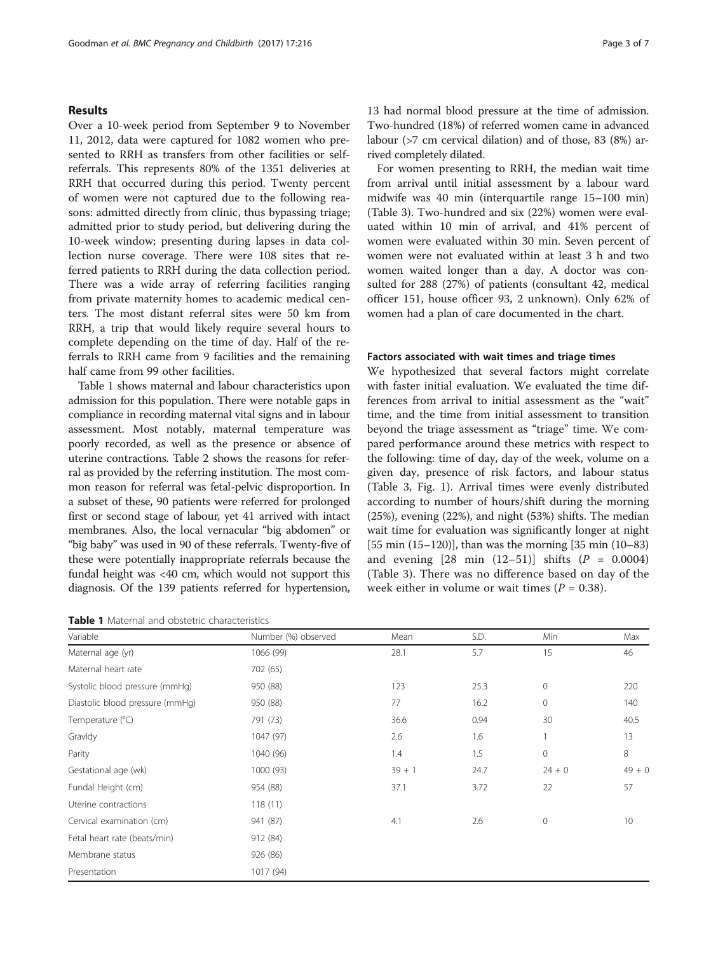#### Results

Over a 10-week period from September 9 to November 11, 2012, data were captured for 1082 women who presented to RRH as transfers from other facilities or selfreferrals. This represents 80% of the 1351 deliveries at RRH that occurred during this period. Twenty percent of women were not captured due to the following reasons: admitted directly from clinic, thus bypassing triage; admitted prior to study period, but delivering during the 10-week window; presenting during lapses in data collection nurse coverage. There were 108 sites that referred patients to RRH during the data collection period. There was a wide array of referring facilities ranging from private maternity homes to academic medical centers. The most distant referral sites were 50 km from RRH, a trip that would likely require several hours to complete depending on the time of day. Half of the referrals to RRH came from 9 facilities and the remaining half came from 99 other facilities.

Table 1 shows maternal and labour characteristics upon admission for this population. There were notable gaps in compliance in recording maternal vital signs and in labour assessment. Most notably, maternal temperature was poorly recorded, as well as the presence or absence of uterine contractions. Table [2](#page-3-0) shows the reasons for referral as provided by the referring institution. The most common reason for referral was fetal-pelvic disproportion. In a subset of these, 90 patients were referred for prolonged first or second stage of labour, yet 41 arrived with intact membranes. Also, the local vernacular "big abdomen" or "big baby" was used in 90 of these referrals. Twenty-five of these were potentially inappropriate referrals because the fundal height was <40 cm, which would not support this diagnosis. Of the 139 patients referred for hypertension,

Table 1 Maternal and obstetric characteristics

13 had normal blood pressure at the time of admission. Two-hundred (18%) of referred women came in advanced labour (>7 cm cervical dilation) and of those, 83 (8%) arrived completely dilated.

For women presenting to RRH, the median wait time from arrival until initial assessment by a labour ward midwife was 40 min (interquartile range 15–100 min) (Table [3\)](#page-4-0). Two-hundred and six (22%) women were evaluated within 10 min of arrival, and 41% percent of women were evaluated within 30 min. Seven percent of women were not evaluated within at least 3 h and two women waited longer than a day. A doctor was consulted for 288 (27%) of patients (consultant 42, medical officer 151, house officer 93, 2 unknown). Only 62% of women had a plan of care documented in the chart.

#### Factors associated with wait times and triage times

We hypothesized that several factors might correlate with faster initial evaluation. We evaluated the time differences from arrival to initial assessment as the "wait" time, and the time from initial assessment to transition beyond the triage assessment as "triage" time. We compared performance around these metrics with respect to the following: time of day, day of the week, volume on a given day, presence of risk factors, and labour status (Table [3,](#page-4-0) Fig. [1](#page-5-0)). Arrival times were evenly distributed according to number of hours/shift during the morning (25%), evening (22%), and night (53%) shifts. The median wait time for evaluation was significantly longer at night [55 min (15–120)], than was the morning [35 min (10–83) and evening  $[28 \text{ min } (12-51)]$  shifts  $(P = 0.0004)$ (Table [3](#page-4-0)). There was no difference based on day of the week either in volume or wait times ( $P = 0.38$ ).

| Variable                        | Number (%) observed | Mean     | S.D. | Min          | Max      |
|---------------------------------|---------------------|----------|------|--------------|----------|
| Maternal age (yr)               | 1066 (99)           | 28.1     | 5.7  | 15           | 46       |
| Maternal heart rate             | 702 (65)            |          |      |              |          |
| Systolic blood pressure (mmHq)  | 950 (88)            | 123      | 25.3 | $\mathbf{0}$ | 220      |
| Diastolic blood pressure (mmHg) | 950 (88)            | 77       | 16.2 | $\circ$      | 140      |
| Temperature (°C)                | 791 (73)            | 36.6     | 0.94 | 30           | 40.5     |
| Gravidy                         | 1047 (97)           | 2.6      | 1.6  |              | 13       |
| Parity                          | 1040 (96)           | 1.4      | 1.5  | $\mathbf 0$  | 8        |
| Gestational age (wk)            | 1000 (93)           | $39 + 1$ | 24.7 | $24 + 0$     | $49 + 0$ |
| Fundal Height (cm)              | 954 (88)            | 37.1     | 3.72 | 22           | 57       |
| Uterine contractions            | 118(11)             |          |      |              |          |
| Cervical examination (cm)       | 941 (87)            | 4.1      | 2.6  | $\mathbf{0}$ | 10       |
| Fetal heart rate (beats/min)    | 912 (84)            |          |      |              |          |
| Membrane status                 | 926 (86)            |          |      |              |          |
| Presentation                    | 1017 (94)           |          |      |              |          |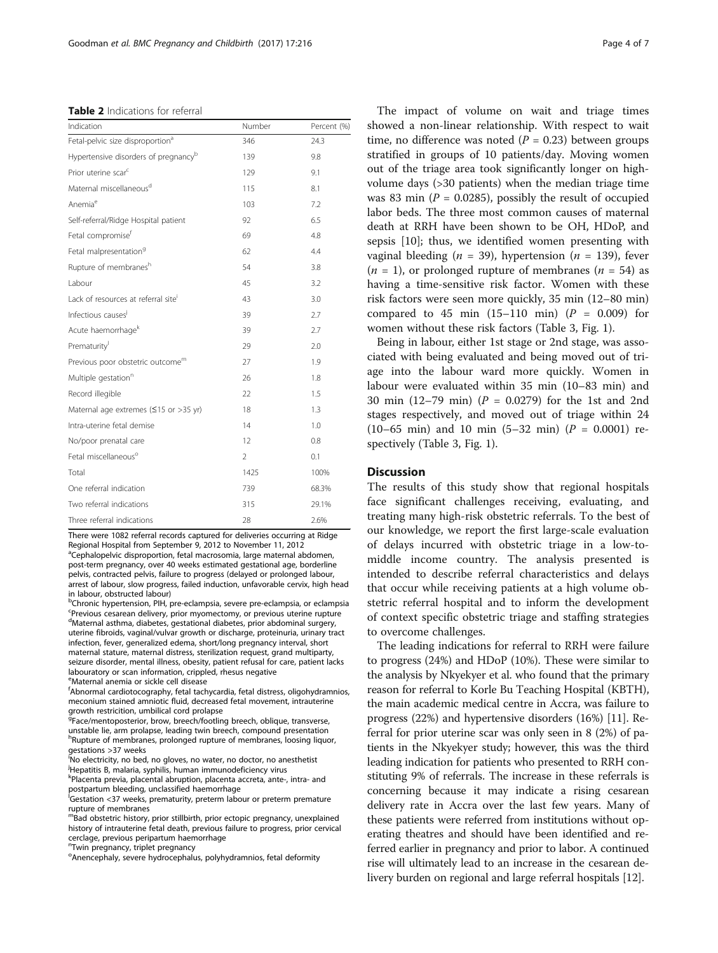<span id="page-3-0"></span>Table 2 Indications for referral

| Indication                                       | Number         | Percent (%) |  |  |
|--------------------------------------------------|----------------|-------------|--|--|
| Fetal-pelvic size disproportion <sup>a</sup>     | 346            | 24.3        |  |  |
| Hypertensive disorders of pregnancy <sup>b</sup> | 139            | 9.8         |  |  |
| Prior uterine scar <sup>c</sup>                  | 129            | 9.1         |  |  |
| Maternal miscellaneous <sup>d</sup>              | 115            | 8.1         |  |  |
| Anemia <sup>e</sup>                              | 103            | 7.2         |  |  |
| Self-referral/Ridge Hospital patient             | 92             | 6.5         |  |  |
| Fetal compromise <sup>f</sup>                    | 69             | 4.8         |  |  |
| Fetal malpresentation <sup>9</sup>               | 62             | 4.4         |  |  |
| Rupture of membranesh                            | 54             | 3.8         |  |  |
| Labour                                           | 45             | 3.2         |  |  |
| Lack of resources at referral site <sup>i</sup>  | 43             | 3.0         |  |  |
| Infectious causes <sup>j</sup>                   | 39             | 2.7         |  |  |
| Acute haemorrhage <sup>k</sup>                   | 39             | 2.7         |  |  |
| Prematurity                                      | 29             | 2.0         |  |  |
| Previous poor obstetric outcome <sup>m</sup>     | 27             | 1.9         |  |  |
| Multiple gestation <sup>n</sup>                  | 26             | 1.8         |  |  |
| Record illegible                                 | 22             | 1.5         |  |  |
| Maternal age extremes ( $\leq$ 15 or >35 yr)     | 18             | 1.3         |  |  |
| Intra-uterine fetal demise                       | 14             | 1.0         |  |  |
| No/poor prenatal care                            | 12             | 0.8         |  |  |
| Fetal miscellaneous <sup>o</sup>                 | $\mathfrak{D}$ | 0.1         |  |  |
| Total                                            | 1425           | 100%        |  |  |
| One referral indication                          | 739            | 68.3%       |  |  |
| Two referral indications                         | 315            | 29.1%       |  |  |
| Three referral indications                       | 28             | 2.6%        |  |  |

There were 1082 referral records captured for deliveries occurring at Ridge Regional Hospital from September 9, 2012 to November 11, 2012 <sup>a</sup>Cephalopelvic disproportion, fetal macrosomia, large maternal abdomen, post-term pregnancy, over 40 weeks estimated gestational age, borderline

pelvis, contracted pelvis, failure to progress (delayed or prolonged labour, arrest of labour, slow progress, failed induction, unfavorable cervix, high head in labour, obstructed labour) <sup>b</sup>Chronic hypertension, PIH, pre-eclampsia, severe pre-eclampsia, or eclampsia

Previous cesarean delivery, prior myomectomy, or previous uterine rupture d<br>Maternal asthma, diabetes, gestational diabetes, prior abdominal surgery, uterine fibroids, vaginal/vulvar growth or discharge, proteinuria, urinary tract infection, fever, generalized edema, short/long pregnancy interval, short maternal stature, maternal distress, sterilization request, grand multiparty, seizure disorder, mental illness, obesity, patient refusal for care, patient lacks labouratory or scan information, crippled, rhesus negative e Maternal anemia or sickle cell disease

f Abnormal cardiotocography, fetal tachycardia, fetal distress, oligohydramnios, meconium stained amniotic fluid, decreased fetal movement, intrauterine growth restricition, umbilical cord prolapse

<sup>g</sup>Face/mentoposterior, brow, breech/footling breech, oblique, transverse, unstable lie, arm prolapse, leading twin breech, compound presentation h<br>Rupture of membranes, prolonged rupture of membranes, loosing liquor, gestations >37 weeks

i No electricity, no bed, no gloves, no water, no doctor, no anesthetist j Hepatitis B, malaria, syphilis, human immunodeficiency virus

k Placenta previa, placental abruption, placenta accreta, ante-, intra- and postpartum bleeding, unclassified haemorrhage

<sup>I</sup>Gestation <37 weeks, prematurity, preterm labour or preterm premature rupture of membranes

mBad obstetric history, prior stillbirth, prior ectopic pregnancy, unexplained history of intrauterine fetal death, previous failure to progress, prior cervical cerclage, previous peripartum haemorrhage

<sup>n</sup>Twin pregnancy, triplet pregnancy

<sup>o</sup>Anencephaly, severe hydrocephalus, polyhydramnios, fetal deformity

The impact of volume on wait and triage times showed a non-linear relationship. With respect to wait time, no difference was noted ( $P = 0.23$ ) between groups stratified in groups of 10 patients/day. Moving women out of the triage area took significantly longer on highvolume days (>30 patients) when the median triage time was 83 min ( $P = 0.0285$ ), possibly the result of occupied labor beds. The three most common causes of maternal death at RRH have been shown to be OH, HDoP, and sepsis [[10\]](#page-6-0); thus, we identified women presenting with vaginal bleeding ( $n = 39$ ), hypertension ( $n = 139$ ), fever  $(n = 1)$ , or prolonged rupture of membranes  $(n = 54)$  as having a time-sensitive risk factor. Women with these risk factors were seen more quickly, 35 min (12–80 min) compared to 45 min  $(15-110 \text{ min})$   $(P = 0.009)$  for women without these risk factors (Table [3](#page-4-0), Fig. [1\)](#page-5-0).

Being in labour, either 1st stage or 2nd stage, was associated with being evaluated and being moved out of triage into the labour ward more quickly. Women in labour were evaluated within 35 min (10–83 min) and 30 min (12–79 min) (P = 0.0279) for the 1st and 2nd stages respectively, and moved out of triage within 24 (10–65 min) and 10 min (5–32 min) ( $P = 0.0001$ ) respectively (Table [3](#page-4-0), Fig. [1\)](#page-5-0).

### Discussion

The results of this study show that regional hospitals face significant challenges receiving, evaluating, and treating many high-risk obstetric referrals. To the best of our knowledge, we report the first large-scale evaluation of delays incurred with obstetric triage in a low-tomiddle income country. The analysis presented is intended to describe referral characteristics and delays that occur while receiving patients at a high volume obstetric referral hospital and to inform the development of context specific obstetric triage and staffing strategies to overcome challenges.

The leading indications for referral to RRH were failure to progress (24%) and HDoP (10%). These were similar to the analysis by Nkyekyer et al. who found that the primary reason for referral to Korle Bu Teaching Hospital (KBTH), the main academic medical centre in Accra, was failure to progress (22%) and hypertensive disorders (16%) [[11](#page-6-0)]. Referral for prior uterine scar was only seen in 8 (2%) of patients in the Nkyekyer study; however, this was the third leading indication for patients who presented to RRH constituting 9% of referrals. The increase in these referrals is concerning because it may indicate a rising cesarean delivery rate in Accra over the last few years. Many of these patients were referred from institutions without operating theatres and should have been identified and referred earlier in pregnancy and prior to labor. A continued rise will ultimately lead to an increase in the cesarean delivery burden on regional and large referral hospitals [[12](#page-6-0)].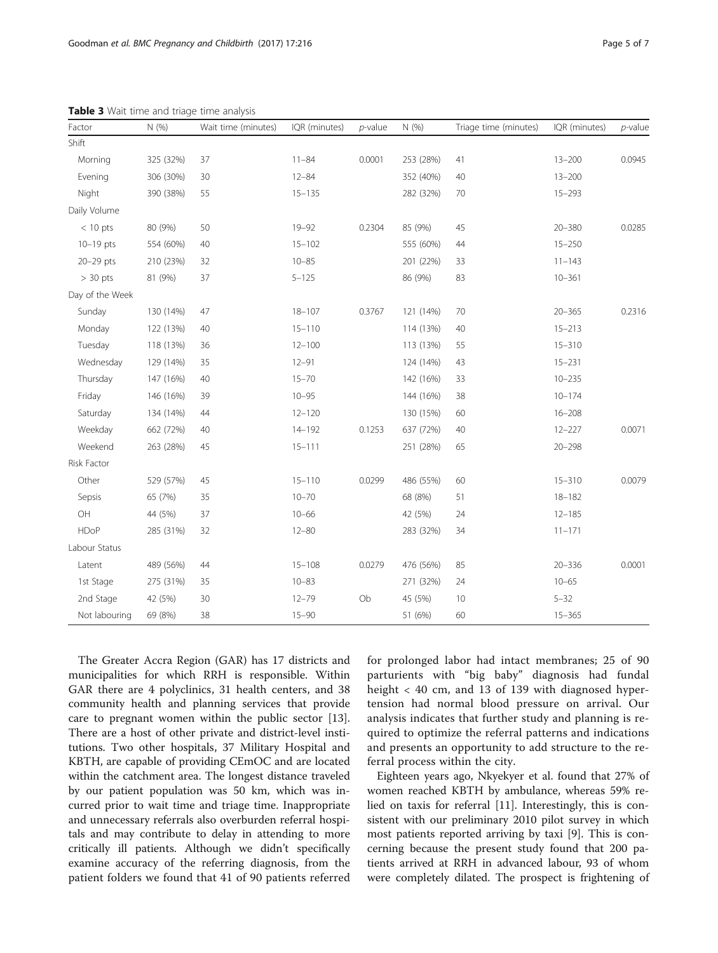| Factor          | N(% )     | Wait time (minutes) | IQR (minutes) | $p$ -value | N(%)      | Triage time (minutes) | IQR (minutes) | $p$ -value |
|-----------------|-----------|---------------------|---------------|------------|-----------|-----------------------|---------------|------------|
| Shift           |           |                     |               |            |           |                       |               |            |
| Morning         | 325 (32%) | 37                  | $11 - 84$     | 0.0001     | 253 (28%) | 41                    | $13 - 200$    | 0.0945     |
| Evening         | 306 (30%) | 30                  | $12 - 84$     |            | 352 (40%) | 40                    | $13 - 200$    |            |
| Night           | 390 (38%) | 55                  | $15 - 135$    |            | 282 (32%) | 70                    | $15 - 293$    |            |
| Daily Volume    |           |                     |               |            |           |                       |               |            |
| $< 10$ pts      | 80 (9%)   | 50                  | $19 - 92$     | 0.2304     | 85 (9%)   | 45                    | $20 - 380$    | 0.0285     |
| $10-19$ pts     | 554 (60%) | 40                  | $15 - 102$    |            | 555 (60%) | 44                    | $15 - 250$    |            |
| 20-29 pts       | 210 (23%) | 32                  | $10 - 85$     |            | 201 (22%) | 33                    | $11 - 143$    |            |
| $> 30$ pts      | 81 (9%)   | 37                  | $5 - 125$     |            | 86 (9%)   | 83                    | $10 - 361$    |            |
| Day of the Week |           |                     |               |            |           |                       |               |            |
| Sunday          | 130 (14%) | 47                  | $18 - 107$    | 0.3767     | 121 (14%) | 70                    | $20 - 365$    | 0.2316     |
| Monday          | 122 (13%) | 40                  | $15 - 110$    |            | 114 (13%) | 40                    | $15 - 213$    |            |
| Tuesday         | 118 (13%) | 36                  | $12 - 100$    |            | 113 (13%) | 55                    | $15 - 310$    |            |
| Wednesday       | 129 (14%) | 35                  | $12 - 91$     |            | 124 (14%) | 43                    | $15 - 231$    |            |
| Thursday        | 147 (16%) | 40                  | $15 - 70$     |            | 142 (16%) | 33                    | $10 - 235$    |            |
| Friday          | 146 (16%) | 39                  | $10 - 95$     |            | 144 (16%) | 38                    | $10 - 174$    |            |
| Saturday        | 134 (14%) | 44                  | $12 - 120$    |            | 130 (15%) | 60                    | $16 - 208$    |            |
| Weekday         | 662 (72%) | 40                  | $14 - 192$    | 0.1253     | 637 (72%) | 40                    | $12 - 227$    | 0.0071     |
| Weekend         | 263 (28%) | 45                  | $15 - 111$    |            | 251 (28%) | 65                    | $20 - 298$    |            |
| Risk Factor     |           |                     |               |            |           |                       |               |            |
| Other           | 529 (57%) | 45                  | $15 - 110$    | 0.0299     | 486 (55%) | 60                    | $15 - 310$    | 0.0079     |
| Sepsis          | 65 (7%)   | 35                  | $10 - 70$     |            | 68 (8%)   | 51                    | $18 - 182$    |            |
| OH              | 44 (5%)   | 37                  | $10 - 66$     |            | 42 (5%)   | 24                    | $12 - 185$    |            |
| <b>HDoP</b>     | 285 (31%) | 32                  | $12 - 80$     |            | 283 (32%) | 34                    | $11 - 171$    |            |
| Labour Status   |           |                     |               |            |           |                       |               |            |
| Latent          | 489 (56%) | 44                  | $15 - 108$    | 0.0279     | 476 (56%) | 85                    | $20 - 336$    | 0.0001     |
| 1st Stage       | 275 (31%) | 35                  | $10 - 83$     |            | 271 (32%) | 24                    | $10 - 65$     |            |
| 2nd Stage       | 42 (5%)   | 30                  | $12 - 79$     | Ob         | 45 (5%)   | 10                    | $5 - 32$      |            |
| Not labouring   | 69 (8%)   | 38                  | $15 - 90$     |            | 51 (6%)   | 60                    | $15 - 365$    |            |

<span id="page-4-0"></span>Table 3 Wait time and triage time analysis

The Greater Accra Region (GAR) has 17 districts and municipalities for which RRH is responsible. Within GAR there are 4 polyclinics, 31 health centers, and 38 community health and planning services that provide care to pregnant women within the public sector [\[13](#page-6-0)]. There are a host of other private and district-level institutions. Two other hospitals, 37 Military Hospital and KBTH, are capable of providing CEmOC and are located within the catchment area. The longest distance traveled by our patient population was 50 km, which was incurred prior to wait time and triage time. Inappropriate and unnecessary referrals also overburden referral hospitals and may contribute to delay in attending to more critically ill patients. Although we didn't specifically examine accuracy of the referring diagnosis, from the patient folders we found that 41 of 90 patients referred for prolonged labor had intact membranes; 25 of 90 parturients with "big baby" diagnosis had fundal height < 40 cm, and 13 of 139 with diagnosed hypertension had normal blood pressure on arrival. Our analysis indicates that further study and planning is required to optimize the referral patterns and indications and presents an opportunity to add structure to the referral process within the city.

Eighteen years ago, Nkyekyer et al. found that 27% of women reached KBTH by ambulance, whereas 59% relied on taxis for referral [\[11\]](#page-6-0). Interestingly, this is consistent with our preliminary 2010 pilot survey in which most patients reported arriving by taxi [[9\]](#page-6-0). This is concerning because the present study found that 200 patients arrived at RRH in advanced labour, 93 of whom were completely dilated. The prospect is frightening of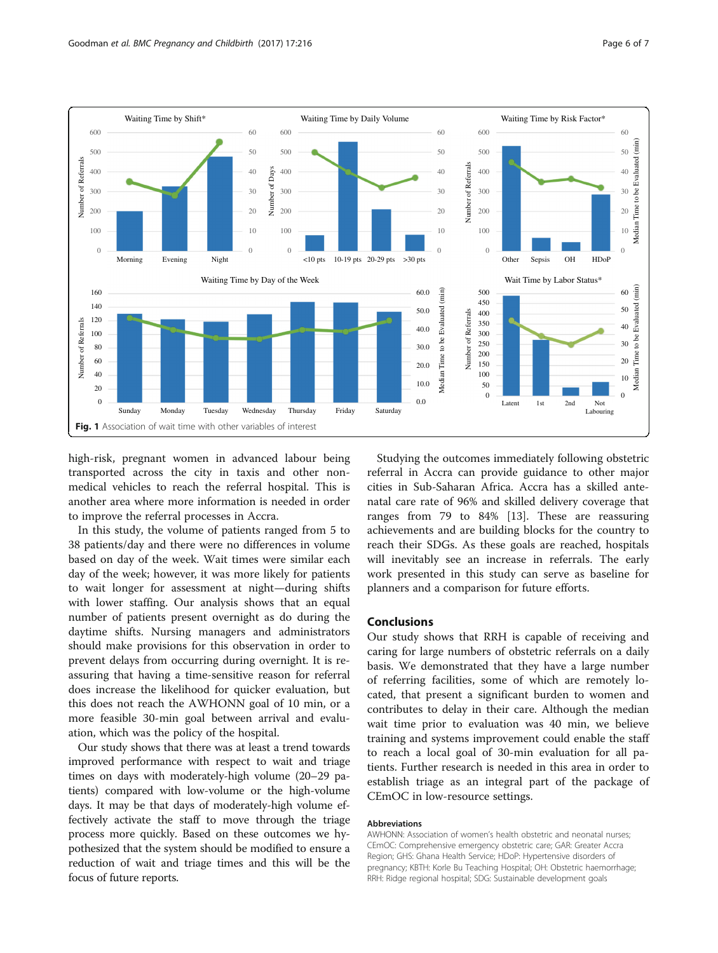<span id="page-5-0"></span>

high-risk, pregnant women in advanced labour being transported across the city in taxis and other nonmedical vehicles to reach the referral hospital. This is another area where more information is needed in order to improve the referral processes in Accra.

In this study, the volume of patients ranged from 5 to 38 patients/day and there were no differences in volume based on day of the week. Wait times were similar each day of the week; however, it was more likely for patients to wait longer for assessment at night—during shifts with lower staffing. Our analysis shows that an equal number of patients present overnight as do during the daytime shifts. Nursing managers and administrators should make provisions for this observation in order to prevent delays from occurring during overnight. It is reassuring that having a time-sensitive reason for referral does increase the likelihood for quicker evaluation, but this does not reach the AWHONN goal of 10 min, or a more feasible 30-min goal between arrival and evaluation, which was the policy of the hospital.

Our study shows that there was at least a trend towards improved performance with respect to wait and triage times on days with moderately-high volume (20–29 patients) compared with low-volume or the high-volume days. It may be that days of moderately-high volume effectively activate the staff to move through the triage process more quickly. Based on these outcomes we hypothesized that the system should be modified to ensure a reduction of wait and triage times and this will be the focus of future reports.

Studying the outcomes immediately following obstetric referral in Accra can provide guidance to other major cities in Sub-Saharan Africa. Accra has a skilled antenatal care rate of 96% and skilled delivery coverage that ranges from 79 to 84% [[13\]](#page-6-0). These are reassuring achievements and are building blocks for the country to reach their SDGs. As these goals are reached, hospitals will inevitably see an increase in referrals. The early work presented in this study can serve as baseline for planners and a comparison for future efforts.

#### Conclusions

Our study shows that RRH is capable of receiving and caring for large numbers of obstetric referrals on a daily basis. We demonstrated that they have a large number of referring facilities, some of which are remotely located, that present a significant burden to women and contributes to delay in their care. Although the median wait time prior to evaluation was 40 min, we believe training and systems improvement could enable the staff to reach a local goal of 30-min evaluation for all patients. Further research is needed in this area in order to establish triage as an integral part of the package of CEmOC in low-resource settings.

#### Abbreviations

AWHONN: Association of women's health obstetric and neonatal nurses; CEmOC: Comprehensive emergency obstetric care; GAR: Greater Accra Region; GHS: Ghana Health Service; HDoP: Hypertensive disorders of pregnancy; KBTH: Korle Bu Teaching Hospital; OH: Obstetric haemorrhage; RRH: Ridge regional hospital; SDG: Sustainable development goals